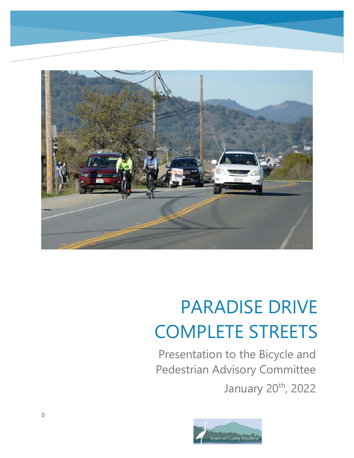



# PARADISE DRIVE COMPLETE STREETS

Presentation to the Bicycle and Pedestrian Advisory Committee January 20th, 2022

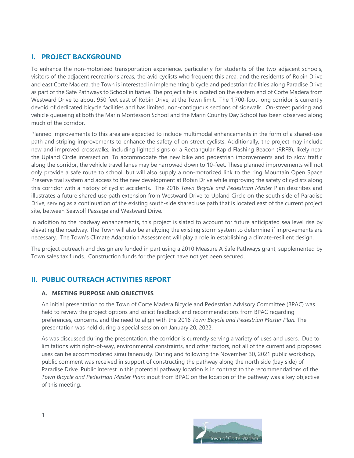# **I. PROJECT BACKGROUND**

To enhance the non-motorized transportation experience, particularly for students of the two adjacent schools, visitors of the adjacent recreations areas, the avid cyclists who frequent this area, and the residents of Robin Drive and east Corte Madera, the Town is interested in implementing bicycle and pedestrian facilities along Paradise Drive as part of the Safe Pathways to School initiative. The project site is located on the eastern end of Corte Madera from Westward Drive to about 950 feet east of Robin Drive, at the Town limit. The 1,700-foot-long corridor is currently devoid of dedicated bicycle facilities and has limited, non-contiguous sections of sidewalk. On-street parking and vehicle queueing at both the Marin Montessori School and the Marin Country Day School has been observed along much of the corridor.

Planned improvements to this area are expected to include multimodal enhancements in the form of a shared-use path and striping improvements to enhance the safety of on-street cyclists. Additionally, the project may include new and improved crosswalks, including lighted signs or a Rectangular Rapid Flashing Beacon (RRFB), likely near the Upland Circle intersection. To accommodate the new bike and pedestrian improvements and to slow traffic along the corridor, the vehicle travel lanes may be narrowed down to 10-feet. These planned improvements will not only provide a safe route to school, but will also supply a non-motorized link to the ring Mountain Open Space Preserve trail system and access to the new development at Robin Drive while improving the safety of cyclists along this corridor with a history of cyclist accidents. The 2016 *Town Bicycle and Pedestrian Master* Plan describes and illustrates a future shared use path extension from Westward Drive to Upland Circle on the south side of Paradise Drive, serving as a continuation of the existing south-side shared use path that is located east of the current project site, between Seawolf Passage and Westward Drive.

In addition to the roadway enhancements, this project is slated to account for future anticipated sea level rise by elevating the roadway. The Town will also be analyzing the existing storm system to determine if improvements are necessary. The Town's Climate Adaptation Assessment will play a role in establishing a climate-resilient design.

The project outreach and design are funded in part using a 2010 Measure A Safe Pathways grant, supplemented by Town sales tax funds. Construction funds for the project have not yet been secured.

# **II. PUBLIC OUTREACH ACTIVITIES REPORT**

### **A. MEETING PURPOSE AND OBJECTIVES**

An initial presentation to the Town of Corte Madera Bicycle and Pedestrian Advisory Committee (BPAC) was held to review the project options and solicit feedback and recommendations from BPAC regarding preferences, concerns, and the need to align with the 2016 *Town Bicycle and Pedestrian Master Plan.* The presentation was held during a special session on January 20, 2022.

As was discussed during the presentation, the corridor is currently serving a variety of uses and users. Due to limitations with right-of-way, environmental constraints, and other factors, not all of the current and proposed uses can be accommodated simultaneously. During and following the November 30, 2021 public workshop, public comment was received in support of constructing the pathway along the north side (bay side) of Paradise Drive. Public interest in this potential pathway location is in contrast to the recommendations of the *Town Bicycle and Pedestrian Master Plan*; input from BPAC on the location of the pathway was a key objective of this meeting.

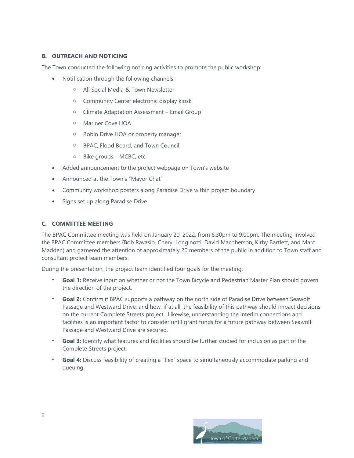## **B. OUTREACH AND NOTICING**

The Town conducted the following noticing activities to promote the public workshop:

- Notification through the following channels:
	- o All Social Media & Town Newsletter
	- o Community Center electronic display kiosk
	- o Climate Adaptation Assessment Email Group
	- o Mariner Cove HOA
	- o Robin Drive HOA or property manager
	- o BPAC, Flood Board, and Town Council
	- o Bike groups MCBC, etc.
- Added announcement to the project webpage on Town's website
- Announced at the Town's "Mayor Chat"
- Community workshop posters along Paradise Drive within project boundary
- Signs set up along Paradise Drive.

#### **C. COMMITTEE MEETING**

The BPAC Committee meeting was held on January 20, 2022, from 6:30pm to 9:00pm. The meeting involved the BPAC Committee members (Bob Ravasio, Cheryl Longinotti, David Macpherson, Kirby Bartlett, and Marc Madden) and garnered the attention of approximately 20 members of the public in addition to Town staff and consultant project team members.

During the presentation, the project team identified four goals for the meeting:

- Goal 1: Receive input on whether or not the Town Bicycle and Pedestrian Master Plan should govern the direction of the project.
- **Goal 2:** Confirm if BPAC supports a pathway on the north side of Paradise Drive between Seawolf Passage and Westward Drive, and how, if at all, the feasibility of this pathway should impact decisions on the current Complete Streets project*.* Likewise, understanding the interim connections and facilities is an important factor to consider until grant funds for a future pathway between Seawolf Passage and Westward Drive are secured.
- **Goal 3:** Identify what features and facilities should be further studied for inclusion as part of the Complete Streets project.
- **Goal 4:** Discuss feasibility of creating a "flex" space to simultaneously accommodate parking and queuing.

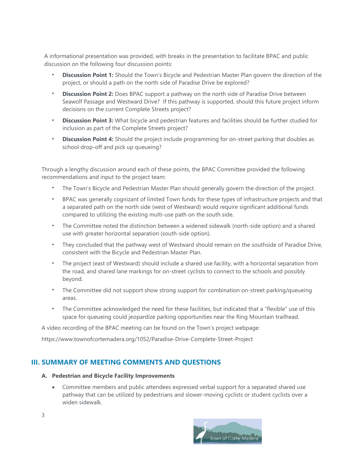A informational presentation was provided, with breaks in the presentation to facilitate BPAC and public discussion on the following four discussion points:

- **Discussion Point 1:** Should the Town's Bicycle and Pedestrian Master Plan govern the direction of the project, or should a path on the north side of Paradise Drive be explored?
- **Discussion Point 2:** Does BPAC support a pathway on the north side of Paradise Drive between Seawolf Passage and Westward Drive? If this pathway is supported, should this future project inform decisions on the current Complete Streets project?
- **Discussion Point 3:** What bicycle and pedestrian features and facilities should be further studied for inclusion as part of the Complete Streets project?
- **Discussion Point 4:** Should the project include programming for on-street parking that doubles as school drop-off and pick up queueing?

Through a lengthy discussion around each of these points, the BPAC Committee provided the following recommendations and input to the project team:

- The Town's Bicycle and Pedestrian Master Plan should generally govern the direction of the project.
- BPAC was generally cognizant of limited Town funds for these types of infrastructure projects and that a separated path on the north side (west of Westward) would require significant additional funds compared to utilizing the existing multi-use path on the south side.
- The Committee noted the distinction between a widened sidewalk (north-side option) and a shared use with greater horizontal separation (south-side option).
- They concluded that the pathway west of Westward should remain on the southside of Paradise Drive, consistent with the Bicycle and Pedestrian Master Plan.
- The project (east of Westward) should include a shared use facility, with a horizontal separation from the road, and shared lane markings for on-street cyclists to connect to the schools and possibly beyond.
- The Committee did not support show strong support for combination on-street parking/queueing areas.
- The Committee acknowledged the need for these facilities, but indicated that a "flexible" use of this space for queueing could jeopardize parking opportunities near the Ring Mountain trailhead.

A video recording of the BPAC meeting can be found on the Town's project webpage:

https://www.townofcortemadera.org/1052/Paradise-Drive-Complete-Street-Project

# **III. SUMMARY OF MEETING COMMENTS AND QUESTIONS**

### **A. Pedestrian and Bicycle Facility Improvements**

 Committee members and public attendees expressed verbal support for a separated shared use pathway that can be utilized by pedestrians and slower-moving cyclists or student cyclists over a widen sidewalk.



3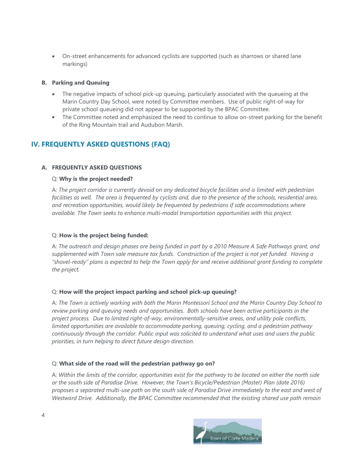On-street enhancements for advanced cyclists are supported (such as sharrows or shared lane markings)

## **B. Parking and Queuing**

- The negative impacts of school pick-up queuing, particularly associated with the queueing at the Marin Country Day School, were noted by Committee members. Use of public right-of-way for private school queueing did not appear to be supported by the BPAC Committee.
- The Committee noted and emphasized the need to continue to allow on-street parking for the benefit of the Ring Mountain trail and Audubon Marsh.

# **IV. FREQUENTLY ASKED QUESTIONS (FAQ)**

## **A. FREQUENTLY ASKED QUESTIONS**

### Q: **Why is the project needed?**

A: *The project corridor is currently devoid on any dedicated bicycle facilities and is limited with pedestrian*  facilities as well. The area is frequented by cyclists and, due to the presence of the schools, residential area, *and recreation opportunities, would likely be frequented by pedestrians if safe accommodations where available. The Town seeks to enhance multi-modal transportation opportunities with this project.* 

## Q: **How is the project being funded:**

A: *The outreach and design phases are being funded in part by a 2010 Measure A Safe Pathways grant, and supplemented with Town sale measure tax funds. Construction of the project is not yet funded. Having a "shovel-ready" plans is expected to help the Town apply for and receive additional grant funding to complete the project.* 

### Q: **How will the project impact parking and school pick-up queuing?**

A: *The Town is actively working with both the Marin Montessori School and the Marin Country Day School to review parking and queuing needs and opportunities. Both schools have been active participants in the project process. Due to limited right-of-way, environmentally-sensitive areas, and utility pole conflicts, limited opportunities are available to accommodate parking, queuing, cycling, and a pedestrian pathway continuously through the corridor. Public input was solicited to understand what uses and users the public priorities, in turn helping to direct future design direction.* 

### Q: **What side of the road will the pedestrian pathway go on?**

A: *Within the limits of the corridor, opportunities exist for the pathway to be located on either the north side or the south side of Paradise Drive. However, the Town's Bicycle/Pedestrian (Master) Plan (date 2016) proposes a separated multi-use path on the south side of Paradise Drive immediately to the east and west of Westward Drive. Additionally, the BPAC Committee recommended that the existing shared use path remain*